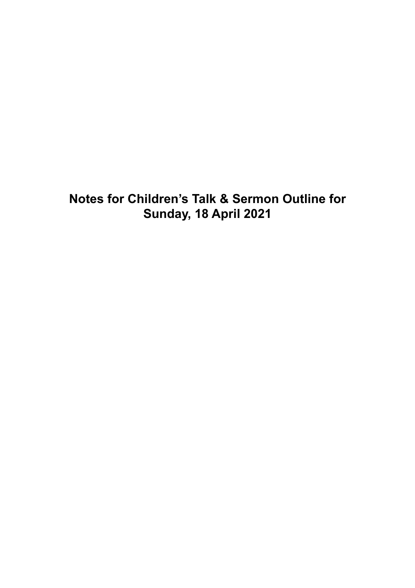**Notes for Children's Talk & Sermon Outline for Sunday, 18 April 2021**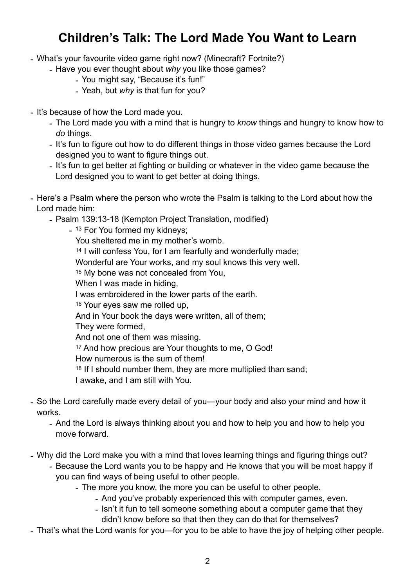# **Children's Talk: The Lord Made You Want to Learn**

- What's your favourite video game right now? (Minecraft? Fortnite?)
	- Have you ever thought about *why* you like those games?
		- You might say, "Because it's fun!"
		- Yeah, but *why* is that fun for you?
- It's because of how the Lord made you.
	- The Lord made you with a mind that is hungry to *know* things and hungry to know how to *do* things.
	- It's fun to figure out how to do different things in those video games because the Lord designed you to want to figure things out.
	- It's fun to get better at fighting or building or whatever in the video game because the Lord designed you to want to get better at doing things.
- Here's a Psalm where the person who wrote the Psalm is talking to the Lord about how the Lord made him:
	- Psalm 139:13-18 (Kempton Project Translation, modified)

- 13 For You formed my kidneys; You sheltered me in my mother's womb. 14 I will confess You, for I am fearfully and wonderfully made; Wonderful are Your works, and my soul knows this very well. 15 My bone was not concealed from You, When I was made in hiding, I was embroidered in the lower parts of the earth. 16 Your eyes saw me rolled up, And in Your book the days were written, all of them; They were formed, And not one of them was missing. 17 And how precious are Your thoughts to me, O God! How numerous is the sum of them! 18 If I should number them, they are more multiplied than sand; I awake, and I am still with You.

- So the Lord carefully made every detail of you—your body and also your mind and how it works.
	- And the Lord is always thinking about you and how to help you and how to help you move forward.
- Why did the Lord make you with a mind that loves learning things and figuring things out?
	- Because the Lord wants you to be happy and He knows that you will be most happy if you can find ways of being useful to other people.
		- The more you know, the more you can be useful to other people.
			- And you've probably experienced this with computer games, even.
			- Isn't it fun to tell someone something about a computer game that they
				- didn't know before so that then they can do that for themselves?
- That's what the Lord wants for you—for you to be able to have the joy of helping other people.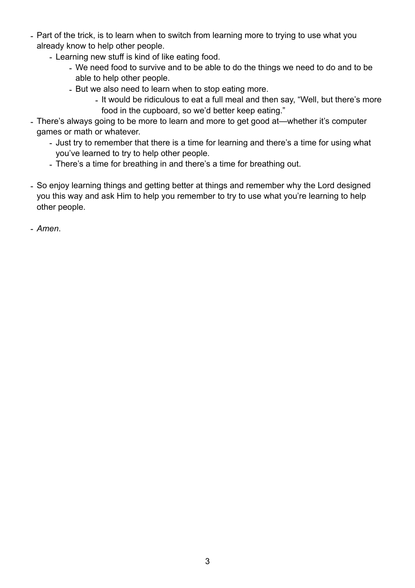- Part of the trick, is to learn when to switch from learning more to trying to use what you already know to help other people.
	- Learning new stuff is kind of like eating food.
		- We need food to survive and to be able to do the things we need to do and to be able to help other people.
		- But we also need to learn when to stop eating more.
			- It would be ridiculous to eat a full meal and then say, "Well, but there's more food in the cupboard, so we'd better keep eating."
- There's always going to be more to learn and more to get good at—whether it's computer games or math or whatever.
	- Just try to remember that there is a time for learning and there's a time for using what you've learned to try to help other people.
	- There's a time for breathing in and there's a time for breathing out.
- So enjoy learning things and getting better at things and remember why the Lord designed you this way and ask Him to help you remember to try to use what you're learning to help other people.
- *Amen*.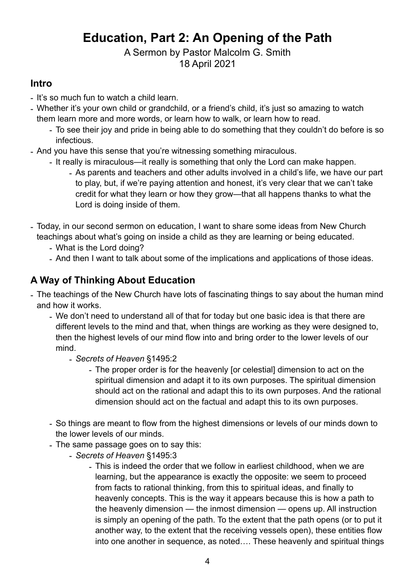# **Education, Part 2: An Opening of the Path**

## A Sermon by Pastor Malcolm G. Smith 18 April 2021

## **Intro**

- It's so much fun to watch a child learn.
- Whether it's your own child or grandchild, or a friend's child, it's just so amazing to watch them learn more and more words, or learn how to walk, or learn how to read.
	- To see their joy and pride in being able to do something that they couldn't do before is so infectious.
- And you have this sense that you're witnessing something miraculous.
	- It really is miraculous—it really is something that only the Lord can make happen.
		- As parents and teachers and other adults involved in a child's life, we have our part to play, but, if we're paying attention and honest, it's very clear that we can't take credit for what they learn or how they grow—that all happens thanks to what the Lord is doing inside of them.
- Today, in our second sermon on education, I want to share some ideas from New Church teachings about what's going on inside a child as they are learning or being educated.
	- What is the Lord doing?
	- And then I want to talk about some of the implications and applications of those ideas.

# **A Way of Thinking About Education**

- The teachings of the New Church have lots of fascinating things to say about the human mind and how it works.
	- We don't need to understand all of that for today but one basic idea is that there are different levels to the mind and that, when things are working as they were designed to, then the highest levels of our mind flow into and bring order to the lower levels of our mind.
		- *Secrets of Heaven* §1495:2
			- The proper order is for the heavenly [or celestial] dimension to act on the spiritual dimension and adapt it to its own purposes. The spiritual dimension should act on the rational and adapt this to its own purposes. And the rational dimension should act on the factual and adapt this to its own purposes.
	- So things are meant to flow from the highest dimensions or levels of our minds down to the lower levels of our minds.
	- The same passage goes on to say this:
		- *Secrets of Heaven* §1495:3
			- This is indeed the order that we follow in earliest childhood, when we are learning, but the appearance is exactly the opposite: we seem to proceed from facts to rational thinking, from this to spiritual ideas, and finally to heavenly concepts. This is the way it appears because this is how a path to the heavenly dimension — the inmost dimension — opens up. All instruction is simply an opening of the path. To the extent that the path opens (or to put it another way, to the extent that the receiving vessels open), these entities flow into one another in sequence, as noted…. These heavenly and spiritual things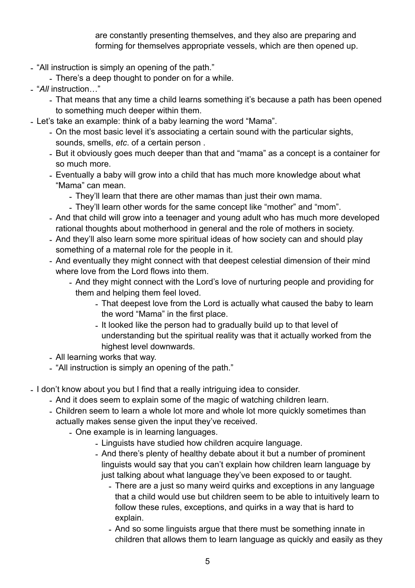are constantly presenting themselves, and they also are preparing and forming for themselves appropriate vessels, which are then opened up.

- "All instruction is simply an opening of the path."
	- There's a deep thought to ponder on for a while.
- "*All* instruction…"
	- That means that any time a child learns something it's because a path has been opened to something much deeper within them.
- Let's take an example: think of a baby learning the word "Mama".
	- On the most basic level it's associating a certain sound with the particular sights, sounds, smells, *etc*. of a certain person .
	- But it obviously goes much deeper than that and "mama" as a concept is a container for so much more.
	- Eventually a baby will grow into a child that has much more knowledge about what "Mama" can mean.
		- They'll learn that there are other mamas than just their own mama.
		- They'll learn other words for the same concept like "mother" and "mom".
	- And that child will grow into a teenager and young adult who has much more developed rational thoughts about motherhood in general and the role of mothers in society.
	- And they'll also learn some more spiritual ideas of how society can and should play something of a maternal role for the people in it.
	- And eventually they might connect with that deepest celestial dimension of their mind where love from the Lord flows into them.
		- And they might connect with the Lord's love of nurturing people and providing for them and helping them feel loved.
			- That deepest love from the Lord is actually what caused the baby to learn the word "Mama" in the first place.
			- It looked like the person had to gradually build up to that level of understanding but the spiritual reality was that it actually worked from the highest level downwards.
	- All learning works that way.
	- "All instruction is simply an opening of the path."
- I don't know about you but I find that a really intriguing idea to consider.
	- And it does seem to explain some of the magic of watching children learn.
	- Children seem to learn a whole lot more and whole lot more quickly sometimes than actually makes sense given the input they've received.
		- One example is in learning languages.
			- Linguists have studied how children acquire language.
			- And there's plenty of healthy debate about it but a number of prominent linguists would say that you can't explain how children learn language by just talking about what language they've been exposed to or taught.
				- There are a just so many weird quirks and exceptions in any language that a child would use but children seem to be able to intuitively learn to follow these rules, exceptions, and quirks in a way that is hard to explain.
				- And so some linguists argue that there must be something innate in children that allows them to learn language as quickly and easily as they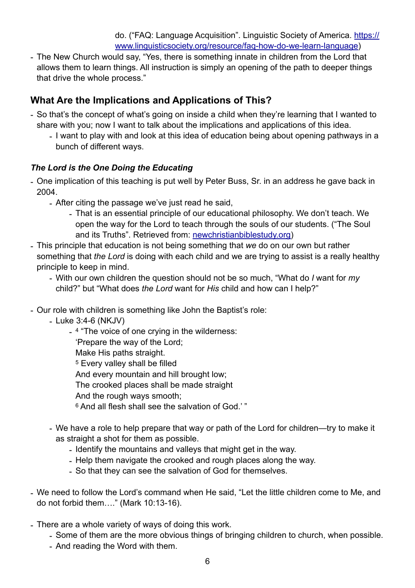do. ("FAQ: Language Acquisition". Linguistic Society of America. [https://](https://www.linguisticsociety.org/resource/faq-how-do-we-learn-language) [www.linguisticsociety.org/resource/faq-how-do-we-learn-language\)](https://www.linguisticsociety.org/resource/faq-how-do-we-learn-language)

- The New Church would say, "Yes, there is something innate in children from the Lord that allows them to learn things. All instruction is simply an opening of the path to deeper things that drive the whole process."

## **What Are the Implications and Applications of This?**

- So that's the concept of what's going on inside a child when they're learning that I wanted to share with you; now I want to talk about the implications and applications of this idea.
	- I want to play with and look at this idea of education being about opening pathways in a bunch of different ways.

#### *The Lord is the One Doing the Educating*

- One implication of this teaching is put well by Peter Buss, Sr. in an address he gave back in 2004.
	- After citing the passage we've just read he said,
		- That is an essential principle of our educational philosophy. We don't teach. We open the way for the Lord to teach through the souls of our students. ("The Soul and its Truths". Retrieved from: [newchristianbiblestudy.org\)](http://newchristianbiblestudy.org)
- This principle that education is not being something that *we* do on our own but rather something that *the Lord* is doing with each child and we are trying to assist is a really healthy principle to keep in mind.
	- With our own children the question should not be so much, "What do *I* want for *my* child?" but "What does *the Lord* want for *His* child and how can I help?"
- Our role with children is something like John the Baptist's role:
	- Luke 3:4-6 (NKJV)
		- 4 "The voice of one crying in the wilderness:
			- 'Prepare the way of the Lord;
			- Make His paths straight.
			- 5 Every valley shall be filled
			- And every mountain and hill brought low;
			- The crooked places shall be made straight
			- And the rough ways smooth;
			- 6 And all flesh shall see the salvation of God.' "
	- We have a role to help prepare that way or path of the Lord for children—try to make it as straight a shot for them as possible.
		- Identify the mountains and valleys that might get in the way.
		- Help them navigate the crooked and rough places along the way.
		- So that they can see the salvation of God for themselves.
- We need to follow the Lord's command when He said, "Let the little children come to Me, and do not forbid them…." (Mark 10:13-16).
- There are a whole variety of ways of doing this work.
	- Some of them are the more obvious things of bringing children to church, when possible.
	- And reading the Word with them.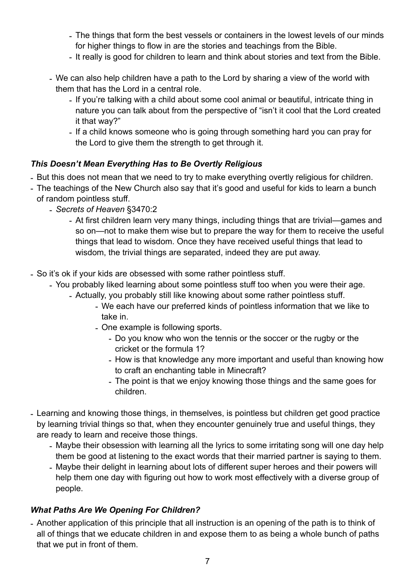- The things that form the best vessels or containers in the lowest levels of our minds for higher things to flow in are the stories and teachings from the Bible.
- It really is good for children to learn and think about stories and text from the Bible.
- We can also help children have a path to the Lord by sharing a view of the world with them that has the Lord in a central role.
	- If you're talking with a child about some cool animal or beautiful, intricate thing in nature you can talk about from the perspective of "isn't it cool that the Lord created it that way?"
	- If a child knows someone who is going through something hard you can pray for the Lord to give them the strength to get through it.

#### *This Doesn't Mean Everything Has to Be Overtly Religious*

- But this does not mean that we need to try to make everything overtly religious for children.
- The teachings of the New Church also say that it's good and useful for kids to learn a bunch of random pointless stuff.
	- *Secrets of Heaven* §3470:2
		- At first children learn very many things, including things that are trivial—games and so on—not to make them wise but to prepare the way for them to receive the useful things that lead to wisdom. Once they have received useful things that lead to wisdom, the trivial things are separated, indeed they are put away.
- So it's ok if your kids are obsessed with some rather pointless stuff.
	- You probably liked learning about some pointless stuff too when you were their age.
		- Actually, you probably still like knowing about some rather pointless stuff.
			- We each have our preferred kinds of pointless information that we like to take in.
			- One example is following sports.
				- Do you know who won the tennis or the soccer or the rugby or the cricket or the formula 1?
				- How is that knowledge any more important and useful than knowing how to craft an enchanting table in Minecraft?
				- The point is that we enjoy knowing those things and the same goes for children.
- Learning and knowing those things, in themselves, is pointless but children get good practice by learning trivial things so that, when they encounter genuinely true and useful things, they are ready to learn and receive those things.
	- Maybe their obsession with learning all the lyrics to some irritating song will one day help them be good at listening to the exact words that their married partner is saying to them.
	- Maybe their delight in learning about lots of different super heroes and their powers will help them one day with figuring out how to work most effectively with a diverse group of people.

#### *What Paths Are We Opening For Children?*

- Another application of this principle that all instruction is an opening of the path is to think of all of things that we educate children in and expose them to as being a whole bunch of paths that we put in front of them.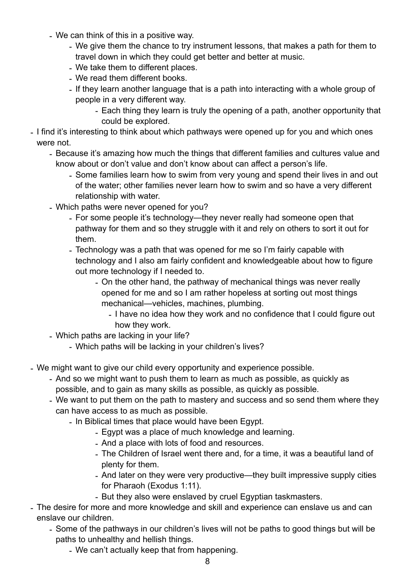- We can think of this in a positive way.
	- We give them the chance to try instrument lessons, that makes a path for them to travel down in which they could get better and better at music.
	- We take them to different places.
	- We read them different books.
	- If they learn another language that is a path into interacting with a whole group of people in a very different way.
		- Each thing they learn is truly the opening of a path, another opportunity that could be explored.
- I find it's interesting to think about which pathways were opened up for you and which ones were not.
	- Because it's amazing how much the things that different families and cultures value and know about or don't value and don't know about can affect a person's life.
		- Some families learn how to swim from very young and spend their lives in and out of the water; other families never learn how to swim and so have a very different relationship with water.
	- Which paths were never opened for you?
		- For some people it's technology—they never really had someone open that pathway for them and so they struggle with it and rely on others to sort it out for them.
		- Technology was a path that was opened for me so I'm fairly capable with technology and I also am fairly confident and knowledgeable about how to figure out more technology if I needed to.
			- On the other hand, the pathway of mechanical things was never really opened for me and so I am rather hopeless at sorting out most things mechanical—vehicles, machines, plumbing.
				- I have no idea how they work and no confidence that I could figure out how they work.
	- Which paths are lacking in your life?
		- Which paths will be lacking in your children's lives?
- We might want to give our child every opportunity and experience possible.
	- And so we might want to push them to learn as much as possible, as quickly as possible, and to gain as many skills as possible, as quickly as possible.
	- We want to put them on the path to mastery and success and so send them where they can have access to as much as possible.
		- In Biblical times that place would have been Egypt.
			- Egypt was a place of much knowledge and learning.
			- And a place with lots of food and resources.
			- The Children of Israel went there and, for a time, it was a beautiful land of plenty for them.
			- And later on they were very productive—they built impressive supply cities for Pharaoh (Exodus 1:11).
			- But they also were enslaved by cruel Egyptian taskmasters.
- The desire for more and more knowledge and skill and experience can enslave us and can enslave our children.
	- Some of the pathways in our children's lives will not be paths to good things but will be paths to unhealthy and hellish things.
		- We can't actually keep that from happening.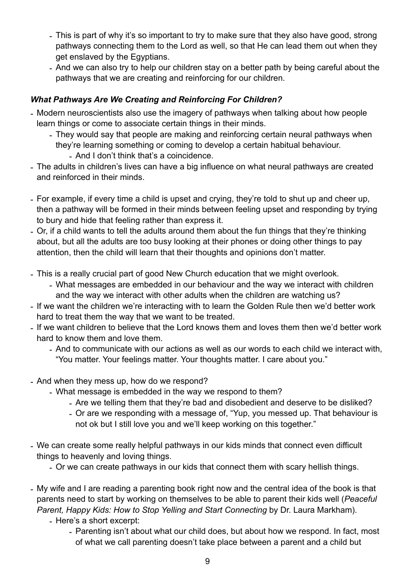- This is part of why it's so important to try to make sure that they also have good, strong pathways connecting them to the Lord as well, so that He can lead them out when they get enslaved by the Egyptians.
- And we can also try to help our children stay on a better path by being careful about the pathways that we are creating and reinforcing for our children.

### *What Pathways Are We Creating and Reinforcing For Children?*

- Modern neuroscientists also use the imagery of pathways when talking about how people learn things or come to associate certain things in their minds.
	- They would say that people are making and reinforcing certain neural pathways when
		- they're learning something or coming to develop a certain habitual behaviour. - And I don't think that's a coincidence.
- The adults in children's lives can have a big influence on what neural pathways are created and reinforced in their minds.
- For example, if every time a child is upset and crying, they're told to shut up and cheer up, then a pathway will be formed in their minds between feeling upset and responding by trying to bury and hide that feeling rather than express it.
- Or, if a child wants to tell the adults around them about the fun things that they're thinking about, but all the adults are too busy looking at their phones or doing other things to pay attention, then the child will learn that their thoughts and opinions don't matter.
- This is a really crucial part of good New Church education that we might overlook.
	- What messages are embedded in our behaviour and the way we interact with children and the way we interact with other adults when the children are watching us?
- If we want the children we're interacting with to learn the Golden Rule then we'd better work hard to treat them the way that we want to be treated.
- If we want children to believe that the Lord knows them and loves them then we'd better work hard to know them and love them.
	- And to communicate with our actions as well as our words to each child we interact with, "You matter. Your feelings matter. Your thoughts matter. I care about you."
- And when they mess up, how do we respond?
	- What message is embedded in the way we respond to them?
		- Are we telling them that they're bad and disobedient and deserve to be disliked?
		- Or are we responding with a message of, "Yup, you messed up. That behaviour is not ok but I still love you and we'll keep working on this together."
- We can create some really helpful pathways in our kids minds that connect even difficult things to heavenly and loving things.
	- Or we can create pathways in our kids that connect them with scary hellish things.
- My wife and I are reading a parenting book right now and the central idea of the book is that parents need to start by working on themselves to be able to parent their kids well (*Peaceful Parent, Happy Kids: How to Stop Yelling and Start Connecting* by Dr. Laura Markham).
	- Here's a short excerpt:
		- Parenting isn't about what our child does, but about how we respond. In fact, most of what we call parenting doesn't take place between a parent and a child but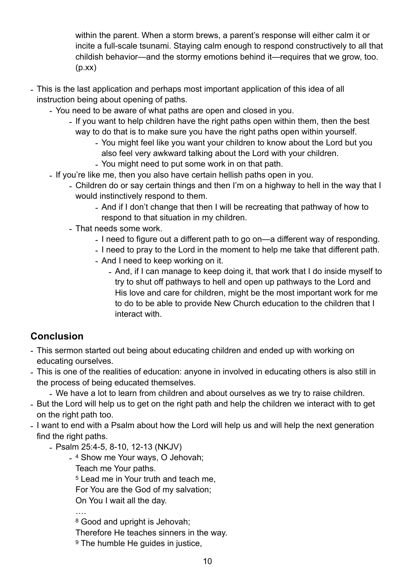within the parent. When a storm brews, a parent's response will either calm it or incite a full-scale tsunami. Staying calm enough to respond constructively to all that childish behavior—and the stormy emotions behind it—requires that we grow, too.  $(p,xx)$ 

- This is the last application and perhaps most important application of this idea of all instruction being about opening of paths.
	- You need to be aware of what paths are open and closed in you.
		- If you want to help children have the right paths open within them, then the best way to do that is to make sure you have the right paths open within yourself.
			- You might feel like you want your children to know about the Lord but you also feel very awkward talking about the Lord with your children.
			- You might need to put some work in on that path.
	- If you're like me, then you also have certain hellish paths open in you.
		- Children do or say certain things and then I'm on a highway to hell in the way that I would instinctively respond to them.
			- And if I don't change that then I will be recreating that pathway of how to respond to that situation in my children.
		- That needs some work.
			- I need to figure out a different path to go on—a different way of responding.
			- I need to pray to the Lord in the moment to help me take that different path.
			- And I need to keep working on it.
				- And, if I can manage to keep doing it, that work that I do inside myself to try to shut off pathways to hell and open up pathways to the Lord and His love and care for children, might be the most important work for me to do to be able to provide New Church education to the children that I interact with.

## **Conclusion**

- This sermon started out being about educating children and ended up with working on educating ourselves.
- This is one of the realities of education: anyone in involved in educating others is also still in the process of being educated themselves.

- We have a lot to learn from children and about ourselves as we try to raise children.

- But the Lord will help us to get on the right path and help the children we interact with to get on the right path too.
- I want to end with a Psalm about how the Lord will help us and will help the next generation find the right paths.
	- Psalm 25:4-5, 8-10, 12-13 (NKJV)
		- 4 Show me Your ways, O Jehovah;
			- Teach me Your paths.

5 Lead me in Your truth and teach me,

For You are the God of my salvation;

On You I wait all the day.

….

8 Good and upright is Jehovah;

Therefore He teaches sinners in the way.

9 The humble He guides in justice,